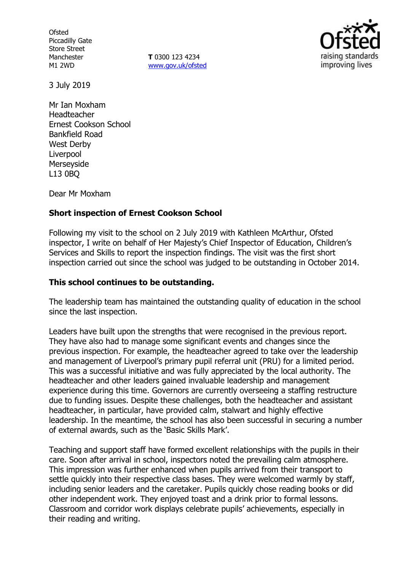**Ofsted** Piccadilly Gate Store Street Manchester M1 2WD

**T** 0300 123 4234 www.gov.uk/ofsted



3 July 2019

Mr Ian Moxham Headteacher Ernest Cookson School Bankfield Road West Derby Liverpool Merseyside L13 0BQ

Dear Mr Moxham

## **Short inspection of Ernest Cookson School**

Following my visit to the school on 2 July 2019 with Kathleen McArthur, Ofsted inspector, I write on behalf of Her Majesty's Chief Inspector of Education, Children's Services and Skills to report the inspection findings. The visit was the first short inspection carried out since the school was judged to be outstanding in October 2014.

## **This school continues to be outstanding.**

The leadership team has maintained the outstanding quality of education in the school since the last inspection.

Leaders have built upon the strengths that were recognised in the previous report. They have also had to manage some significant events and changes since the previous inspection. For example, the headteacher agreed to take over the leadership and management of Liverpool's primary pupil referral unit (PRU) for a limited period. This was a successful initiative and was fully appreciated by the local authority. The headteacher and other leaders gained invaluable leadership and management experience during this time. Governors are currently overseeing a staffing restructure due to funding issues. Despite these challenges, both the headteacher and assistant headteacher, in particular, have provided calm, stalwart and highly effective leadership. In the meantime, the school has also been successful in securing a number of external awards, such as the 'Basic Skills Mark'.

Teaching and support staff have formed excellent relationships with the pupils in their care. Soon after arrival in school, inspectors noted the prevailing calm atmosphere. This impression was further enhanced when pupils arrived from their transport to settle quickly into their respective class bases. They were welcomed warmly by staff, including senior leaders and the caretaker. Pupils quickly chose reading books or did other independent work. They enjoyed toast and a drink prior to formal lessons. Classroom and corridor work displays celebrate pupils' achievements, especially in their reading and writing.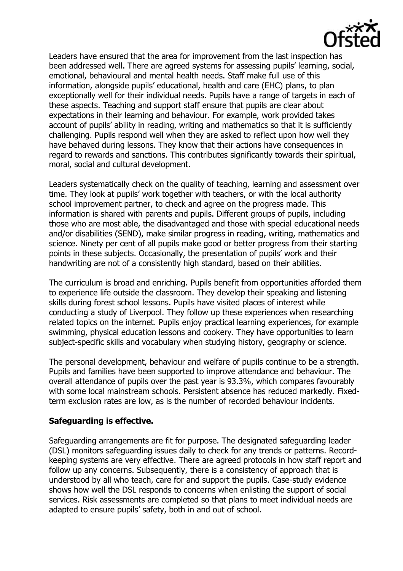

Leaders have ensured that the area for improvement from the last inspection has been addressed well. There are agreed systems for assessing pupils' learning, social, emotional, behavioural and mental health needs. Staff make full use of this information, alongside pupils' educational, health and care (EHC) plans, to plan exceptionally well for their individual needs. Pupils have a range of targets in each of these aspects. Teaching and support staff ensure that pupils are clear about expectations in their learning and behaviour. For example, work provided takes account of pupils' ability in reading, writing and mathematics so that it is sufficiently challenging. Pupils respond well when they are asked to reflect upon how well they have behaved during lessons. They know that their actions have consequences in regard to rewards and sanctions. This contributes significantly towards their spiritual, moral, social and cultural development.

Leaders systematically check on the quality of teaching, learning and assessment over time. They look at pupils' work together with teachers, or with the local authority school improvement partner, to check and agree on the progress made. This information is shared with parents and pupils. Different groups of pupils, including those who are most able, the disadvantaged and those with special educational needs and/or disabilities (SEND), make similar progress in reading, writing, mathematics and science. Ninety per cent of all pupils make good or better progress from their starting points in these subjects. Occasionally, the presentation of pupils' work and their handwriting are not of a consistently high standard, based on their abilities.

The curriculum is broad and enriching. Pupils benefit from opportunities afforded them to experience life outside the classroom. They develop their speaking and listening skills during forest school lessons. Pupils have visited places of interest while conducting a study of Liverpool. They follow up these experiences when researching related topics on the internet. Pupils enjoy practical learning experiences, for example swimming, physical education lessons and cookery. They have opportunities to learn subject-specific skills and vocabulary when studying history, geography or science.

The personal development, behaviour and welfare of pupils continue to be a strength. Pupils and families have been supported to improve attendance and behaviour. The overall attendance of pupils over the past year is 93.3%, which compares favourably with some local mainstream schools. Persistent absence has reduced markedly. Fixedterm exclusion rates are low, as is the number of recorded behaviour incidents.

## **Safeguarding is effective.**

Safeguarding arrangements are fit for purpose. The designated safeguarding leader (DSL) monitors safeguarding issues daily to check for any trends or patterns. Recordkeeping systems are very effective. There are agreed protocols in how staff report and follow up any concerns. Subsequently, there is a consistency of approach that is understood by all who teach, care for and support the pupils. Case-study evidence shows how well the DSL responds to concerns when enlisting the support of social services. Risk assessments are completed so that plans to meet individual needs are adapted to ensure pupils' safety, both in and out of school.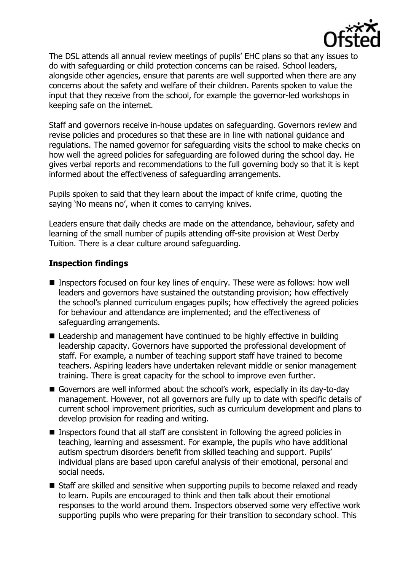

The DSL attends all annual review meetings of pupils' EHC plans so that any issues to do with safeguarding or child protection concerns can be raised. School leaders, alongside other agencies, ensure that parents are well supported when there are any concerns about the safety and welfare of their children. Parents spoken to value the input that they receive from the school, for example the governor-led workshops in keeping safe on the internet.

Staff and governors receive in-house updates on safeguarding. Governors review and revise policies and procedures so that these are in line with national guidance and regulations. The named governor for safeguarding visits the school to make checks on how well the agreed policies for safeguarding are followed during the school day. He gives verbal reports and recommendations to the full governing body so that it is kept informed about the effectiveness of safeguarding arrangements.

Pupils spoken to said that they learn about the impact of knife crime, quoting the saying 'No means no', when it comes to carrying knives.

Leaders ensure that daily checks are made on the attendance, behaviour, safety and learning of the small number of pupils attending off-site provision at West Derby Tuition. There is a clear culture around safeguarding.

## **Inspection findings**

- Inspectors focused on four key lines of enquiry. These were as follows: how well leaders and governors have sustained the outstanding provision; how effectively the school's planned curriculum engages pupils; how effectively the agreed policies for behaviour and attendance are implemented; and the effectiveness of safeguarding arrangements.
- Leadership and management have continued to be highly effective in building leadership capacity. Governors have supported the professional development of staff. For example, a number of teaching support staff have trained to become teachers. Aspiring leaders have undertaken relevant middle or senior management training. There is great capacity for the school to improve even further.
- Governors are well informed about the school's work, especially in its day-to-day management. However, not all governors are fully up to date with specific details of current school improvement priorities, such as curriculum development and plans to develop provision for reading and writing.
- Inspectors found that all staff are consistent in following the agreed policies in teaching, learning and assessment. For example, the pupils who have additional autism spectrum disorders benefit from skilled teaching and support. Pupils' individual plans are based upon careful analysis of their emotional, personal and social needs.
- Staff are skilled and sensitive when supporting pupils to become relaxed and ready to learn. Pupils are encouraged to think and then talk about their emotional responses to the world around them. Inspectors observed some very effective work supporting pupils who were preparing for their transition to secondary school. This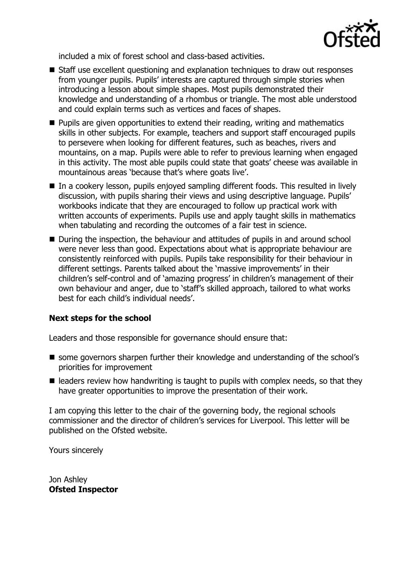

included a mix of forest school and class-based activities.

- Staff use excellent questioning and explanation techniques to draw out responses from younger pupils. Pupils' interests are captured through simple stories when introducing a lesson about simple shapes. Most pupils demonstrated their knowledge and understanding of a rhombus or triangle. The most able understood and could explain terms such as vertices and faces of shapes.
- **Pupils are given opportunities to extend their reading, writing and mathematics** skills in other subjects. For example, teachers and support staff encouraged pupils to persevere when looking for different features, such as beaches, rivers and mountains, on a map. Pupils were able to refer to previous learning when engaged in this activity. The most able pupils could state that goats' cheese was available in mountainous areas 'because that's where goats live'.
- In a cookery lesson, pupils enjoyed sampling different foods. This resulted in lively discussion, with pupils sharing their views and using descriptive language. Pupils' workbooks indicate that they are encouraged to follow up practical work with written accounts of experiments. Pupils use and apply taught skills in mathematics when tabulating and recording the outcomes of a fair test in science.
- During the inspection, the behaviour and attitudes of pupils in and around school were never less than good. Expectations about what is appropriate behaviour are consistently reinforced with pupils. Pupils take responsibility for their behaviour in different settings. Parents talked about the 'massive improvements' in their children's self-control and of 'amazing progress' in children's management of their own behaviour and anger, due to 'staff's skilled approach, tailored to what works best for each child's individual needs'.

# **Next steps for the school**

Leaders and those responsible for governance should ensure that:

- some governors sharpen further their knowledge and understanding of the school's priorities for improvement
- $\blacksquare$  leaders review how handwriting is taught to pupils with complex needs, so that they have greater opportunities to improve the presentation of their work.

I am copying this letter to the chair of the governing body, the regional schools commissioner and the director of children's services for Liverpool. This letter will be published on the Ofsted website.

Yours sincerely

Jon Ashley **Ofsted Inspector**